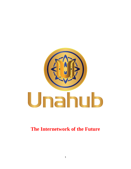

**The Internetwork of the Future**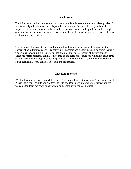### **Disclaimer**

The information in this document is confidential and is to be read only by authorized parties. It is acknowledged by the reader of this plan that information furnished in this plan is in all respects, confidential in nature, other than in formation which is in the public domain through other means and that any disclosure or use of same by reader may cause serious harm or damage to aforementioned parties.

This business plan is not to be copied or reproduced by any means without the sole written consent of an authorized agent of Omatrix Inc. Investors and fianciers should be aware that any projections concerning future performance and potential rates of return of the investment described herein represent estimates prepared on the basis of assumptions, which are considered by the investment developers under the present market conditions. It should be understood that actual results may vary considerably from the projections.

# **Acknowledgement**

We thank you for viewing this white paper. Your support and enthusiasm is greatly appreciated. Please share your insights and suggestions with us. UnaHub is a monumental project and we welcome top team members to participate and contribute to the 2018 launch.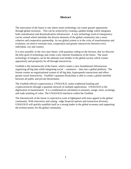# **Abstract**

The innovation of the future is one where smart technology can create greater opportunity through global inclusion. This can be achieved by creating a golden bridge which integrates both centralization and decentralization infostructure. A new technology triad of transparency can be created which interlinks the diverse elements of the global community into a more cohesive and cooperative partnership. As our global system is in the crisis of transformation and evolution, we need to reinstate trust, cooperation and greater interactivity between every individual, city and country.

It is now possible, in the very near future, with quantum coding on the horizon, that we discover the holy grail of technology and create a new Internet foundation of the future. The smart technology of integrity can be the ultimate trust builder in the global society which creates opportunity and prosperity for all through interactivity.

UnaHub is the internetwork of the future, which creates a new foundational infostructure, organizing all big data while integrating social – commerce – data into a global platform. The format creates an organizational system of all big data, hyperspeeds transactions and offers greater social interactivity. UnaHub's quantum blockchain is able to create a global interlink between all public and private blockchains.

The UnaHub official cryptocurrency, UNAGOLD, unites traditional banking and cryptocurrencies through a quantum network of multiple applications. UNAGOLD is the digitization of monetization. It is a mathematical calculation to measure, assign, store, exchange, and trade anything of value. The UNAGOLD interfaces within the UnaHub.

The Internetwork of the future is expected to scale at lightspeed with mass appeal in the global community. With innovative and cutting - edge financial options and transaction diversity, UNAGOLD will quickly establish itself as a strong leader in the global economy and supporting the technoconomy for the global community.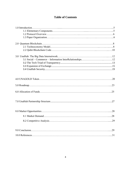# **Table of Contents**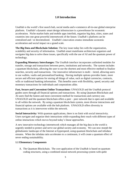# **1.0 Introduction**

UnaHub is the world's first search hub, social media and e-commerce all-in-one global enterprise platform. UnaHub's dynamic smart design infostructure is a powerhouse for economic acceleration. Niche market hubs and mobile apps interlink, organize big data, cities, states and countries into one great powerful internetwork of the future. UnaHub's platform can be centralized and / or decentralized. UnaHub's innovation creates immediate economic acceleration and social impact on a grand scale.

**The Big Data and Blockchain Solution:** The key issue today lies with the organization, scalability and security of information**.** UnaHub smart mainframe architecture organizes and navigates big data to solve these issues, specifically with the use of AI and the quantum power of technology.

**Expanding Monetary Interchanges:** The UnaHub interface incorporates unlimited modules for transfer, storage and transactions between peers, institutions and networks. The system includes a quantum blockchain, allowing the user to use the shortest and most effective method to finalize searches, security and transactions. Our innovative infostructure is multi – tiered, allowing users to use wallets, vaults and personalized banking. Having multiple options provides faster, more secure and efficient options for storing all things of value, such as digital currencies, contracts, wills or traditional banking information. This benefits users with flexibility, speed, security and monetary transactions for individuals and corporations alike.

**Fast, Secure and Convenient Online Transactions:** UNAGOLD and the UnaHub protocol guides users through all financial options and transactions. By using Quantum Blockchain and AI users find the fastest and most convenient method for transactions and currency use. UNAGOLD and the quantum blockchain offers a peer – peer network that is open and available to all within the network. By using a quantum blockchain system, more diverse interactions and financial options are available with the hub platform. UNAGOLD offers diversity in transactions as it is interwoven within the network.

**Social Interactivity:** With quantum applications, there is no limit with social interactivity. Users navigate and organize their interactions while expanding their reach with different types of online interactions which moves beyond today's linear approaches.

A new innovative technology internetwork which manages all the big data in the world is urgently needed to protect and serve our global society and economy. We can now morph the globalnomic landscape of the Internet at hyperspeed, using quantum blockchain and infodata streams. When the infodata ratio accelerates to a continuum, it will create a quantum effect of never ending sustainability.

### **1.1 Elementary Components**

A. The Quantum Blockchain. The core application of the UnaHub is based on quantum coding structures, using a combined neural network processing system with qubit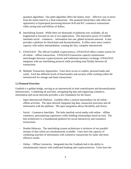quantum algorithms. Our qubit algorithm offers the fastest, most – effective way to move from the initial search to a final transaction. The quantum blockchain code offers the opportunity to hyperspeed processing between B-B and B-C commerce transactions while saving time and billions of dollars.

- B. Interlinking System. While there are thousands of platforms now available, all are fragmented or focused on one or two applications. The innovative power of UnaHub interlinks social – commerce – information into one, global inclusion network. It also provides a platform for blockchain and decentralization. It offers users more creative capacity with online intermediation, creating the first, complete internetwork.
- C. UNAGOLD. The official UnaHub cryptocurrency, UNAGOLD offers a token system for all online – offline transactions. UNAGOLD transaction capacity mainstreams interchanges between cryptocurrencies and traditional monetary exchange. UNAGOLD integrates with our interlinking protocol while providing total fluidity between all transactions.
- D. Multiple Transaction Approaches. Users have access to wallets, personal banks and vaults. Each has different levels of functionality and security while working within the internetwork for storage and faster transactions.

### **1.2 Protocol Overview**

UnaHub is a golden bridge, serving as an internetwork to both centralization and decentralization infostructures. Combining all activities, navigating big data and organizing commerce, information and social networks provides a new foundation for the future.

- Open Internetwork Platform. UnaHub offers a neutral intermediary for all online offline activities. The open network integrates big data, transaction processes and all information with the platform. The open integration allows flexibility and choice.
- Social Commerce Interlinks. The hubs interlink social media with online offline commerce, personalizing experiences while building relationships based on trust. The hub architecture is a foundational platform for social interactivity and commerce transactions.
- Double Hubways. The interlinking system architecture is inclusive of two parallel streams of data which are simultaneously available. Users have the capacity of combining searches of information with commerce transactions for faster and more effective results.
- Online Offline Currencies. Integrated into the UnaBank hub is the ability to simultaneously interact with traditional banking and cryptocurrencies. Users have the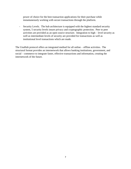power of choice for the best transaction applications for their purchase while instantaneously working with secure transactions through the platform.

- Security Levels. The hub architecture is equipped with the highest standard security system, 5 security levels insure privacy and cryptographic protection. Peer to peer activities are provided as an open source structure. Integration to high – level security as well as intermediate levels of security are provided for transactions as well as institutional level transactions which are made.

The UnaHub protocol offers an integrated method for all online – offline activities. The structural format provides an internetwork that allows banking institutions, government, and social – commerce to integrate faster, effective transactions and information, creating the internetwork of the future.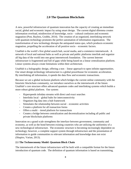# **2.0 The Quantum Blockchain**

A new, powerful infostructure of quantum innovation has the capacity of creating an immediate social, global and economic impact by using smart design. The current digital dilemma creates information overload, misdirection of knowledge, socio – cultural confusion and economic stagnation (Post, Bayless, Grubbs, 2014). The creation of an organized, interlinking network with quantum technology promotes the perfect automation of information organization. The transformation of new technology disrupts the antiquated status quo, which produces economic stagnation, propelling the acceleration of all positive socio – economic factors.

UnaHub is the world's first global search hub, social media, and e-commerce internetwork. A network of local and national hubs as well as private and public platforms interlink and organize all big data of the world into one great internetwork foundation. The current Internet infostructure is fragmented and full of gaps while being based on a linear centralization platform. Linear systems always create limitations within their architecture.

UnaHub is a holographic design, offering a non – linear approach to open infinite opportunities. Our smart design technology infrastructure is a global powerhouse for economic acceleration. By interlinking all information, it speeds the data flow and economic transactions.

Because we are a global inclusion platform which bridges the current online community with the futuristic blockchain community, we introduce ourselves as the internetwork of the future. UnaHub's core structure offers advanced quantum codes and interlinking systems which builds a more robust global platform. Our system:

- Hyperspeeds infodata streams with direct and exact searches
- Interlinks local global hubs for interconnectivity
- Organizes big data into a hub framework
- Stimulates the relationship between social economic activities
- Creates a platform for all transaction forms
- Offers a multi tiered platform for transactions
- Creates a bridge between centralization and decentralization including all public and private blockchain platforms

Innovation on a grand scale strengthens the interface between government, community and economy, as well as the bond between existing countries who are utilizing the uniformity of a new technological infostructure. The economic structure is becoming increasingly dependent on technology; however, a complete support system through infostructure and the presentation of information to guide communities to relevant information and knowledge does not exist (Shapiro, Varian, 2013).

### **2.1 The Technoconomy Model: Quantum Block Chain**

The internetwork of the future infrastructure will be built with a compatible format for the future introduction of quantum code. The definition of quantum information is based on transmitting,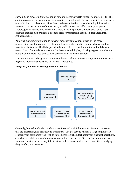encoding and processing information in new and novel ways (Bertilmen, Zelinger, 2013). The ability to combine the natural process of physics principles with the way in which information is transmitted and received also offers faster and more effective forms of offering information to viewers. The organization of information, as well as faster and effective ways to process knowledge and transactions also offers a more effective platform. Information which uses quantum theories also provides a stronger basis for transmitting required data (Bertilmen, Zelinger, 2013).

Applying quantum information to transmit monetary applications offers an increased transmission speed of commerce. Quantum theories, when applied to blockchain as well as monetary platforms of UnaHub, provides the most effective medium to transmit all data and transactions. Our model supports multi – tiered methodologies, allowing cryptocurrencies and traditional monetary mediums to have secure and effective transactions.

The hub platform is designed to provide the fastest and most effective ways to find information regarding monetary support and to finalize transactions.

*Image 1: Quantum Processing System by Search*



Currently, blockchain leaders, such as those involved with Ethereum and Bitcoin, have stated that the processing and transactions are limited. The per second rate for a large conglomerate, especially for companies who wish to implement blockchain technology for financial operations, at such a rate while showing promise is inoperable (Buterin, 2017). Using quantum process structures creates the necessary infostructure to disseminate and process transactions, bridging the gap of cryptocurrencies.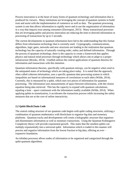Process innovation is at the heart of many forms of quantum technology and information that is produced for viewers. Many institutions are leveraging the concept of quantum systems to build trust and assist with the implementation of commerce as well as data. The quantum processing system is one that allows information to rapidly move and to use the organization of information in a way that impacts trust among consumers (Davenport, 2013). Many transactional processes that are leveraging qubits and process innovation are reducing the time to directed information or processing of transactions by up to 5 seconds.

The current developments in quantum information have led to the understanding that this format differs from information technology that is currently used. Cryptography, communications, algorithms, logic gates, networks and new structures are leading to the realization that quantum technology has the capacity of naturally creating order, safety and defined information. Through the process of quantum technology, there is the capacity to create a framework that applies physics and natural mind processes through technology which allows one to adapt to a proper infostructure (Brooks, 2014). UnaHub utilizes the central applications of quantum theories for information and transactions with this intention.

Quantum information theories, specifically with quantum entropy, can be negative when used in the antiquated states of technology which are taking place today. It is noted that the approach, often called coherent information, uses a specific quantum data processing system in which inequalities are based on informational measures of correlations to each other (Wilde, 2014). Currently, this is measured by a qubit, which uses two pieces of information for quantum processing. The information uses measurements of space between information, with the closest equation being data retrieved. This has the capacity to expand with quantum calculations, equaling a time – space continuum with the information readily available (Wilde, 2014). When applying qubits to monetization, it accelerates the transaction process while increasing the safety measures that are at the core of online interactivity.

### **2.2 Qubit BlockChain Code**

The central coding structure of our quantum code begins with qubit coding structures, utilizing a combination of quantum mathematics with blockchain to organize big data and monetary platforms. Quantum tracks and developments will create a holographic structure that organizes and disseminates information as well as monetary transactions. Using the Quantum Kolmogorov Complexity theory will provide exponential growth. This states that the smallest qubits can multiply exponentially into a universal qubit. Information which is traded in this manner will process and organize information from the lowest fraction to big data, offering an ever – expansive foundation.

An infodata processor allows nodes of information to be organized and categorized through the qubit quantum algorithms.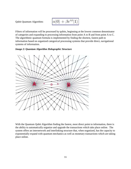Qubit Quantum Algorithm:

$$
\alpha|0\rangle+\beta e^{i\phi}|1\rangle
$$

Filters of information will be processed by qubits, beginning at the lowest common denominator of categories and expanding to processing information from point A to B and from point A to C. The algorithmic quantum formula is implemented by finding the shortest, fastest path to information based on organized categorical processing systems that provide direct, navigational systems of information.

#### *Image 2: Quantum Algorithm Holographic Structure*



With the Quantum Qubit Algorithm finding the fastest, most direct point to information, there is the ability to automatically organize and upgrade the transactions which take place online. The system offers an internetwork and interlinking structure that, when organized, has the capacity to exponentially expand with quantum mechanics as well as monetary transactions which are taking place online.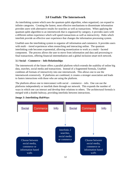# **3.0 UnaHub: The Internetwork**

An interlinking system which uses the quantum qubit algorithm, when organized, can expand to infinite categories. Creating the fastest, most effective mechanisms to disseminate information provides users with alternative results for searches as well as transactions. When applying the quantum qubit algorithm to an internetwork that is organized by category, it provides users with a different online experience which will speed transactions as well as interactivity. Hubs which interlink provide an effective user experience that changes the information processing system.

UnaHub uses the interlinking system to organize all information and commerce. It provides users with multi – tiered experiences when researching and interacting online. The quantum interlinking code becomes exponential, allowing monetization to work as a multi - faceted component. The process allows the user to move from information and data and processing to final transactions, offering financial intermediation and a global inclusion smart tech network.

### **3.1 Social – Commerce – Info Relationships**

The internetwork of the future offers a parallel platform which extends the usability of online big data, searches, social media and transactions. Instead of a fragmented formula, UnaHub combines all formats of interactivity into one internetwork. This allows one to use the internetwork extensively. If platforms are combined, it creates a stronger association and leads to fasters interactions with those who are using the platform.

The platform allows one to interconnect with social – commerce – info. One can use the platforms independently or interlink them through our network. This expands the number of ways in which one can interact and develop their relations to others. The architectural formula is merged with a double hubway, providing interlinks between interactions.



*Image 3: Interlinking HubWays*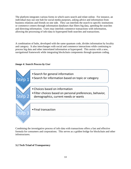The platform integrates various forms in which users search and relate online. For instance, an individual may use one hub for social media purposes, asking advice and information from business relations and friends on one side. They can interlink the search to specific institutions or commerce centers through information databases that filters big data, speeding the searches and directing information. Users may interlink commerce transactions with information, allowing the processing of info-data to hyperspeed both searches and transactions.

A combination of hubs, developed with the same quantum code, divides information by locality and category. It also interchanges with social and commerce interactions while continuing to process big data and other interrelated information at hyperspeed. This assists with a new, navigational framework while integrating blockchain components through quantum coding.



*Image 4: Search Process by User*

Combining the investigative process of info data with transactions offers a fast and effective formula for consumers and corporations. This serves as a golden bridge for blockchain and other infostructures.

# **3.2 Tech Triad of Transparency**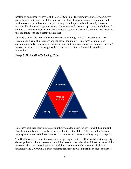Scalability and expansiveness is at the core of UnaHub. The introduction of other commerce – social hubs are introduced with the qubit system. This allows consumers, corporations and institutions to expand how the money is managed and improves the relationships between traditional banking and cryptocurrencies. Consumers will have the capacity to interlink social – commerce in diverse hubs, leading to exponential results and the ability to increase transactions that are online with the system which is used.

UnaHub's smart software architecture creates a technology triad of transparency between government, financial institutions and the global community. UnaHub's technology of equanimity equally empowers the individual, corporate and government institutions. UnaHub's internet infostructure creates a global bridge between centralization and decentralized innovation.

#### *Image 5: The UnaHub Technology Triad*



UnaHub's core triad interlink creates an infinity data loop between government, banking and global community which equally empowers all into sustainability. This interlinking system hyperspeeds transactions, interconnects communities and creates an infinity loop to prosperity.

The UnaHub extends to institutions while integrating all online – offline activities through big data organization. It also creates an interlink to several core hubs, all which are inclusive of the internetwork of the UnaHub protocol. Each hub is equipped with a quantum blockchain technology and UNAGOLD's fast commerce transactions which interlink by niche categories.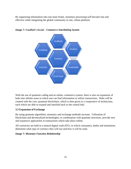By organizing information into one main frame, monetary processing will become fast and effective while integrating the global community in one, robust platform.



*Image 7: UnaHub's Social – Commerce Interlinking System*

With the use of quantum coding and an online, commerce system, there is also an expansion of hubs into infinite areas in which one can find information or utilize transactions. Hubs will be created with the core, quantum blockchain, which is then given to a cooperative of technicians, each which are able to expand and interlink back to the central hub.

# **3.3 Expansion of Exchange**

By using quantum algorithms, monetary and exchange methods increase. Utilization of blockchain and decentralized technologies, in combination with quantum structures, provide new and expansive approaches to transactions which take place online.

All currencies are held in a neutral digital vault (DV), in which consumers, banks and institutions determine what type of currency they will use and how it will be used.

# *Image 7: Monetary Function Relationship*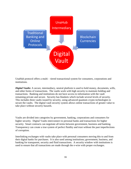

UnaHub protocol offers a multi – tiered transactional system for consumers, corporations and institutions.

*Digital Vaults:* A secure, intermediary, neutral platform is used to hold money, documents, wills, and other forms of transactions. The vaults work with high security to maintain holding and transactions. Banking and institutions do not have access to information with the vault remaining private and secure. Security has blankets which include several levels of security. This includes three vaults issued by security, using advanced quantum crypto technologies to secure the vaults. The digital vault security system allows online transactions of greater value to take place without security hazards.

Vaults are divided into categories by government, banking, corporations and consumers for higher security. Digital Vaults interconnect to personal banks and transactions for higher security. Smart contracts can negotiate all terms between government, business and banking. Transparency can create a true system of perfect fluidity and trust without the past imperfections of corruption.

Interlinking exchanges with vaults take place with personal consumers moving this to and from their digital banks for purchases. It is also used among institutions; government, business, and banking for transparent, security and fluid transactions. A security window with institutions is used to ensure that all transactions are made through the e-wire with proper exchanges.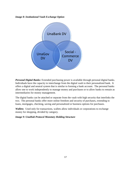*Image 8: Institutional Vault Exchange Option*



*Personal Digital Banks:* Extended purchasing power is available through personal digital banks. Individuals have the capacity to interchange from the digital vault to their personalized bank. It offers a digital and neutral system that is similar to forming a bank account. The personal banks allow one to work independently to manage money and purchases or to allow banks to remain as intermediaries for money management.

The digital banks can be attached or separate from the vault with high security that interlinks the two. The personal banks offer more online freedom and security of purchases, extending to loans, mortgages, checking, saving and personalized or business options for purchases.

*Wallets:* Used only for transactions, wallets allow individuals or corporations to exchange money for shopping, divided by category.

*Image 9: UnaHub Protocol Monetary Holding Structure*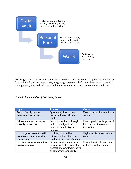

By using a multi – tiered approach, users can combine information based approaches through the hub with fluidity of purchase power, integrating a powerful platform for faster transactions that are organized, managed and create further opportunities for consumer, corporate purchases.

|  | <b>Table 1: Functionality of Processing System</b> |  |  |
|--|----------------------------------------------------|--|--|
|--|----------------------------------------------------|--|--|

| Input                                                                    | <b>Process</b>                                                                                                                  | <b>Output</b>                                                               |
|--------------------------------------------------------------------------|---------------------------------------------------------------------------------------------------------------------------------|-----------------------------------------------------------------------------|
| Search for big data or<br>monetary transaction                           | <b>Quantum Qubits process</b><br>fastest and most effective<br>result                                                           | User processes information or<br>search                                     |
| <b>Information or transaction</b><br>is ready to process                 | Funds are available through<br>multi – tiered platforms<br>depending on the type of<br>purchase                                 | User is guided to the personal<br>bank or wallet to complete<br>transaction |
| User requires security with<br>documents, money or other<br>transactions | Vault is processed by<br>category, information and<br>level of security using qubits                                            | High security transactions are<br>completed                                 |
| <b>User interlinks information</b><br>to a transaction                   | Opening of either a personal<br>bank or wallet to finalize the<br>transaction. Cryptocurrencies<br>and monetary availability is | User automatically purchases<br>or finalizes a transaction.                 |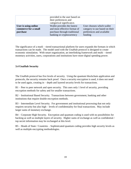|                                                          | provided to the user based on<br>their preferences and<br>categorical significance.                                      |                                                                                                     |
|----------------------------------------------------------|--------------------------------------------------------------------------------------------------------------------------|-----------------------------------------------------------------------------------------------------|
| User is using online<br>commerce for a small<br>purchase | Wallet provides the fastest<br>and most effective format of<br>purchase through traditional<br>banking or cryptocurrency | User chooses which wallet<br>category to use based on their<br>preferences and available<br>funding |

The significance of a mutli – tiered transactional platform for users expands the formats in which transactions can be made. The model used with the UnaHub protocol is designed to create economic stimulation. With smart organization, an interlinking framework and multi – tiered monetary activities, users, corporations and institutions have more digital spending power.

### **3.4 UnaHub Security**

The UnaHub protocol has five levels of security. Using the quantum blockchain application and protocols, the security remains hack proof. Once a security encryption is used, it does not need to be used again, creating in – depth and layered security levels for transactions.

B1 – Peer to peer network and open security. This uses only 1 level of security, providing encryption methods for safety and for smaller transactions.

B2 – Institutional Based Security. Transactions between government, banking and other institutions that require double encryption methods.

B3 – Intermediate Level Security. For government and institutional processing that not only requires security but also high – levels of confidentiality for final transactions. May include larger sums of monetary exchange.

B4 – Corporate High Security. Encryption and quantum coding is used with no possibilities for hacking as well as multiple layers of security. Higher sums of exchange as well as confidential / top secret information may be exchanged at this level.

B5 – Heads of State / Countries – Sophisticated quantum coding provides high security levels as well as multiple encrypting methodologies.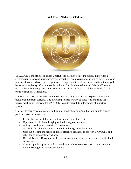# **4.0 The UNAGOLD Token**



UNAGOLD is the official token for UnaHub, the internetwork of the future. It provides a cryptocurrency for consumers, business, corporations and governments in which the creation and transfer of tokens is based on the open source cryptographic protocol model and is not managed by a central authority. Our protocol is similar to Bitcoin - blockchain and Ether's - Ethereum that it is both a currency and a network which circulates and acts as a global umbrella for all types of financial transactions.

The UNAGOLD Coin provides an immediate interchange between all cryptocurrencies and traditional monetary systems. The interchange offers fluidity to those who are using the internetwork while allowing the UNAGOLD coin to extend the interchange of monetary systems.

The peer to peer based coin offers both an independent spending method and an interchange platform between currencies.

- Peer to Peer network for the cryptocurrency using blockchain
- Open source coin, interchanging with other cryptocurrencies
- Ability to exchange to traditional currencies
- Available for all purchases that interlink and integrate with UnaHub
- Uses qubit to find the fastest and most effective transactions between UNAGOLD and other forms of monetary exchange
- Offers UNAGOLD as an official cryptocurrency which can be interchanged with all other currencies
- Creates a public private multi tiered approach for secure or open transactions with multiple storage and transaction options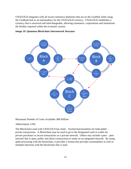UNAGOLD integrates with all social commerce platforms that are on the UnaHub while using the UnaBank hub as an intermediary for the UNAGOLD currency. UNAGOLD establishes a currency that is universal and interchangeable, allowing consumers, corporations and institutions the fluidity required within the economic system.





Maximum Number of Coins Available: 800 Million

#### Abbreviation: UNG

The Blockchain used with UNAGOLD has multi – faceted functionalities for both public – private transactions. A Blockchain may be used to go to the designated vault or wallet for private purchases or secure transactions on a private network. Others may include a peer – peer network that is open, public and allows transactions to make on an integrated network. By using qubit processing with the blockchain, it provides a format that provides sustainability as well as multiple functions with the blockchain that is used.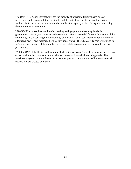The UNAGOLD open internetwork has the capacity of providing fluidity based on user preference and by using qubit processing to find the fastest and most effective transaction method. With the peer – peer network, the coin has the capacity of interfacing and quickening the transactions made online.

UNAGOLD also has the capacity of expanding to fingerprints and security levels for government, banking, corporations and institutions, offering extended functionality for the global community. By organizing the functionality of the UNAGOLD coin to private functions on an alternative peer – peer network, it will secure transactions. The UNAGOLD coin will extend to higher security formats of the coin that are private while keeping other sectors public for peer – peer trading.

With the UNAGOLD Coin and Quantum Blockchain, users categorize their monetary needs into expansive hubs, by commerce or with alternative transactions which are being made. The interlinking system provides levels of security for private transactions as well as open network options that are created with users.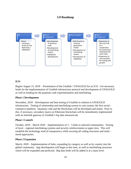# **5.0 Roadmap**



# **ICO**

Begins August 15, 2018 - Presentation of the UnaHub / UNAGOLD for an ICO. Get necessary funds for the implementation of UnaHub infostructure protocol and development of UNAGOLD as well as funding for the quantum code experimentation and interlinking.

#### **Phase 1 Development**

November, 2018 – Development and beta testing of UnaHub in relation to UNAGOLD infostructure. Testing of relationship and interlinking system to core system, the first social – commerce platform. Quantum code and the blockchain will be developed and tested. Prior to this, if necessary, secondary layers on Ethereum blockchain will be immediately implemented with an interlink gateway to UnaHub's big data internetwork.

#### **Phase 1 Launch**

October,  $2019 - March\ 2020 - Implementation of\ 3-5 hubs to selected communities. Testing$ of local – regional interlinking systems and security reinforcements at upper tiers. This will establish the technology triad of transparency while securing all coding structures and multi – tiered approaches.

#### **Phase 2 Expansion**

March, 2020 – Implementation of hubs, expanding by category as well as by country into the global community. App development will begin at this time, as well as interlinking structures which will be expanded and perfected. Big data feeds will be added in at a mass level.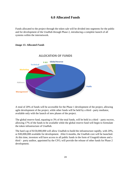# **6.0 Allocated Funds**

Funds allocated to the project through the token sale will be divided into segments for the public and for development of the UnaHub through Phase 2, introducing a complete launch of all systems within the internetwork.



#### *Image 15: Allocated Funds*

A total of 20% of funds will be accessible for the Phase 1 development of the project, allowing agile development of the project, while other funds will be held by a third - party mediator, available only with the launch of new phases of the project.

The global reserve fund, equating to 3% of the total funds, will be held in a third – party escrow, allowing 17% of the funds to be available while the global reserve fund will begin to formulate the token infrastructure of UnaHub.

The hard cap of \$150,000,000 will allow UnaHub to build the infrastructure rapidly, with 20%, or \$30,000,000 available for development. After 6 months, the UnaHub core will be launched. At this time, investors will have access to all public funds in the form of Unagold tokens and a third - party auditor, appointed by the CFO, will provide the release of other funds for Phase 2 development.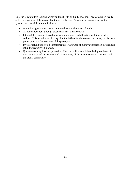UnaHub is committed to transparency and trust with all fund allocations, dedicated specifically to the development of the protocol of the internetwork. To follow the transparency of the system, our financial structure includes:

- A multi signature escrow account used for the allocation of funds.
- All fund allocations through blockchain trust smart contract
- Interim CFO appointed to administer and monitor fund allocation with independent auditor. This includes monitoring of initial 20% of funds to ensure all money is dispersed properly for the development of the prototype.
- Investor refund policy to be implemented. Assurance of money appreciation through full refund plus approved interest.
- Quantum security investor protection. UnaHub policy establishes the highest level of trust, integrity and security with all government, all financial institutions, business and the global community.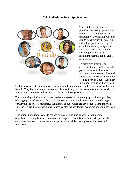# **7.0 UnaHub Partnership Structure**



The mainframe of UnaHub provides partnership opportunities through the quantum power of technology. By utilizing our smart design infostructure the UnaHub technology platform has a greater capacity to scale by category and location. UnaHub's quantum technology manifests the maximum potential for all global opportunities.

To maximize growth at an accelerated rate, UnaHub provides partnerships for technicians, marketers, entrepreneurs, financial advisors and investors interested in owning a part of a hub. Subsidiary formations by hub will be created.

Technicians and entrepreneurs will then be given the mainframe template and introduce big data by hub. They become part owner to that hub, specifically for the development and expansion of information, commerce and social data relevant to the organization.

The partnership with UnaHub is open to those interested in becoming a part of a cooperative, offering equity and tokens to those who develop and maintain different hubs. By offering this partnership structure, it maximizes the number of hubs which are developed. More important, UnaHub is a giant step beyond open source by offering substantial, economic opportunities to all involved.

This unique mainframe is able to expand and scale hubs quickly while offering more organization among data and commerce. It is expected that this mainframe will provide the creation of hundreds of entrepreneurial opportunities while creating tremendous economic prosperity.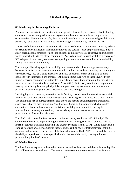# **8.0 Market Opportunity**

### **8.1 Marketing the Technology Platform**

Platforms are essential to the functionality and growth of technology. It is noted that technology companies that become platforms or ecosystems are the only sustainable and long – term opportunities. Many turn to Apple, Amazon and LinkedIn to show monumental growth in short periods by using platforms as a core to the technological functionality (Travlos, 2013).

The UnaHub, functioning as an internetwork, creates worldwide, economic sustainability to both the established centralization financial institutions and cutting – edge cryptocurrencies. Such a smart organizational structure which simplifies the complexity creates expansive and unlimited market opportunities to the global community. Accessibility and transactional diversity creates a 360 - degree circle of every online option, opening a doorway to accessibility and sustainability among the economic community.

The concept of building a platform with big data creates a triad of technology transparency between financial, government and commerce that builds trust and sustainability. According to a current survey, 44% of C-suite executives and 35% of enterprises rely on big data to make decisions with information or purchases. At the same time over 75% of those involved with financial service companies are interested in big data to secure their position in the market or to make better decisions with their purchases (Press, 2013). With every country and corporation looking towards big data as a priority, it is an urgent necessity to create a new internetwork platform that can manage the ever - expanding demands for big data.

Utilizing big data in a smart, interactive media fashion, creates a new framework where social media and commerce offer an innovative structure that brings sustainability and a high - return. The continuing rise in market demands also shows the need to begin integrating transparent, easily accessible big data into an integrated format. Organized information which provides corporations, financial businesses and individuals with big data, while interlinking the information to monetary transactions, creates a rising economic return as well as more possibilities for financial acceleration.

The blockchain is one that is expected to continue to grow, worth over \$20 billion by 2024. Over 69% of banks are experimenting with blockchain, showing substantial promise with the interlink between traditional financing and cryptocurrencies (Smith, 2017). While blockchain is coming into fruition, other companies that are on the cutting edge of technology are looking at quantum coding to speed the process of the blockchain code. IBM (2017), has stated that there is the ability to speed transactions, specifically with the use of the qubit, creating unlimited potential for qubit development.

### **8.2 Market Demand**

The functionality expands to the market demand as well as the use of both blockchain and qubits that will have an expanded reach. The need to have faster, more secure transactions is at the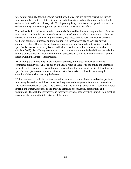forefront of banking, government and institutions. Many who are currently using the current infostructure have noted that it is difficult to find information and use the proper outlets for their online activities (Omatrix Survey, 2015). Upgrading the cyber infostructure provides a shift in online usability while opening more opportunities to those who are online.

The noticed lack of infrastructure that is online is followed by the increasing number of Internet users, which has doubled in size yearly since the introduction of online connectivity. There are currently 3.58 billion people using the Internet, with most looking at search engines and social media for commerce purposes and information. Of these, an average of 22% are buying commerce online. Others who are looking at online shopping often do not finalize a purchase, specifically because of security issues and lack of trust for the online platforms available (Statista, 2017). By offering a secure and robust internetwork, there is the ability to provide the billions of users with an innovative option for transactions as well as information that is sorely needed within the Internet infostructure.

By changing the interactivity levels as well as security, it will alter the format of online commerce at all levels. UnaHub has an expansive reach of those who are online and interested in an alternative format of financial transactions, information and social media. Integrating these specific concepts into one platform offers an extensive market reach while increasing the capacity of those who are using the Internet.

With a continuous rise in Internet use as well as demands for new financial and online platforms, is a strong demand for an infostructure that integrates and navigates information, transactions and social interactions of users. The UnaHub, with the banking - government – social/commerce interlinking system, responds to the growing demands of consumers, corporations and institutions. Through the interactive and innovative system, user activities expand while creating sustainability through the internetwork of the future.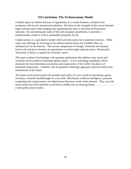# **9.0 Conclusion: The Technoconomy Model**

UnaHub opens an infinite doorway of opportunity to co-create business, enterprise and prosperity with its new internetwork platform. We draw on the strengths of the current Internet legacy infostructure while bridging and organizing data flow to and from all blockchain networks. By interlinking all walks of life with monetary possibilities, it provides a technoconomy model as well as sustainable prosperity for all.

Cryptocurrency is a speculative market which presents some risk to potential investors. While some coin offerings do not bring on the median desired return, the UnaHub offers an infrastructure for the Internet. The current comparisons to Google, Facebook and Amazon lowers risk and gives investors an opportunity to receive high expected return. Historically, innovation is always a catalyst for economic return.

The smart creation of technology with quantum applications that address every social and economic factor produces immediate global impact. A new technology foundation which promotes the true information automation and organization of the world's big data is of paramount importance. UnaHub, with its quantum technology approach, positions itself as the internetwork of the future.

The future on the horizon gives the promise and reality of a new world of innovations, genius invention, scientific breakthroughs in every field. Blockchain, artificial intelligence, quantum computing and cryptocurrency are indeed more than buzz words of the moment. They carry the future trends that will transform us and lead us boldly into an amazing future; ………………….. a truly global smart society.